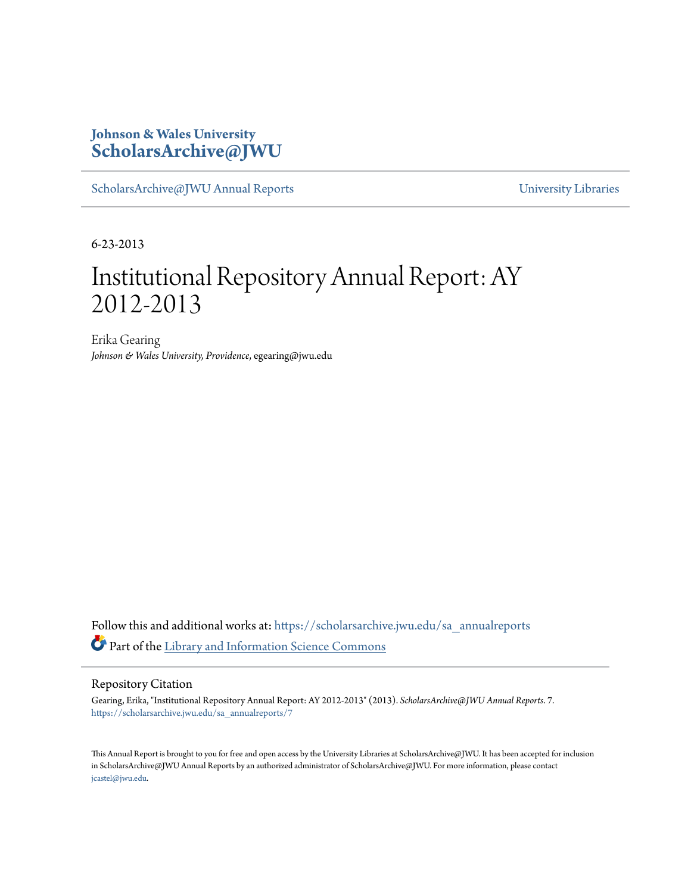# **Johnson & Wales University [ScholarsArchive@JWU](https://scholarsarchive.jwu.edu?utm_source=scholarsarchive.jwu.edu%2Fsa_annualreports%2F7&utm_medium=PDF&utm_campaign=PDFCoverPages)**

[ScholarsArchive@JWU Annual Reports](https://scholarsarchive.jwu.edu/sa_annualreports?utm_source=scholarsarchive.jwu.edu%2Fsa_annualreports%2F7&utm_medium=PDF&utm_campaign=PDFCoverPages) **Example 2018** [University Libraries](https://scholarsarchive.jwu.edu/University_Libraries?utm_source=scholarsarchive.jwu.edu%2Fsa_annualreports%2F7&utm_medium=PDF&utm_campaign=PDFCoverPages)

6-23-2013

# Institutional Repository Annual Report: AY 2012-2013

Erika Gearing *Johnson & Wales University, Providence*, egearing@jwu.edu

Follow this and additional works at: [https://scholarsarchive.jwu.edu/sa\\_annualreports](https://scholarsarchive.jwu.edu/sa_annualreports?utm_source=scholarsarchive.jwu.edu%2Fsa_annualreports%2F7&utm_medium=PDF&utm_campaign=PDFCoverPages) Part of the [Library and Information Science Commons](http://network.bepress.com/hgg/discipline/1018?utm_source=scholarsarchive.jwu.edu%2Fsa_annualreports%2F7&utm_medium=PDF&utm_campaign=PDFCoverPages)

#### Repository Citation

Gearing, Erika, "Institutional Repository Annual Report: AY 2012-2013" (2013). *ScholarsArchive@JWU Annual Reports*. 7. [https://scholarsarchive.jwu.edu/sa\\_annualreports/7](https://scholarsarchive.jwu.edu/sa_annualreports/7?utm_source=scholarsarchive.jwu.edu%2Fsa_annualreports%2F7&utm_medium=PDF&utm_campaign=PDFCoverPages)

This Annual Report is brought to you for free and open access by the University Libraries at ScholarsArchive@JWU. It has been accepted for inclusion in ScholarsArchive@JWU Annual Reports by an authorized administrator of ScholarsArchive@JWU. For more information, please contact [jcastel@jwu.edu.](mailto:jcastel@jwu.edu)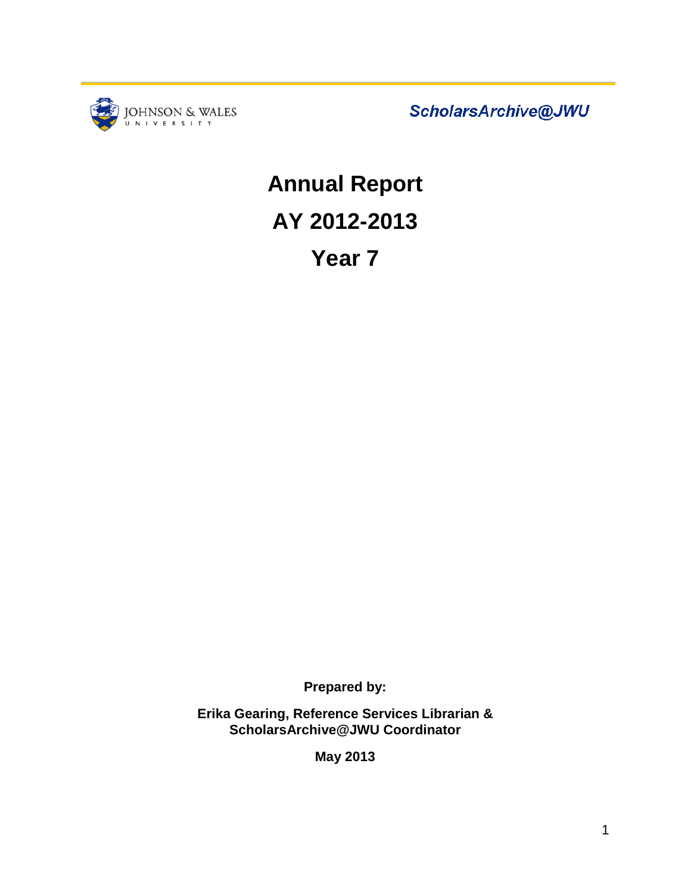

ScholarsArchive@JWU

# **Annual Report AY 2012-2013 Year 7**

**Prepared by:** 

**Erika Gearing, Reference Services Librarian & ScholarsArchive@JWU Coordinator**

**May 2013**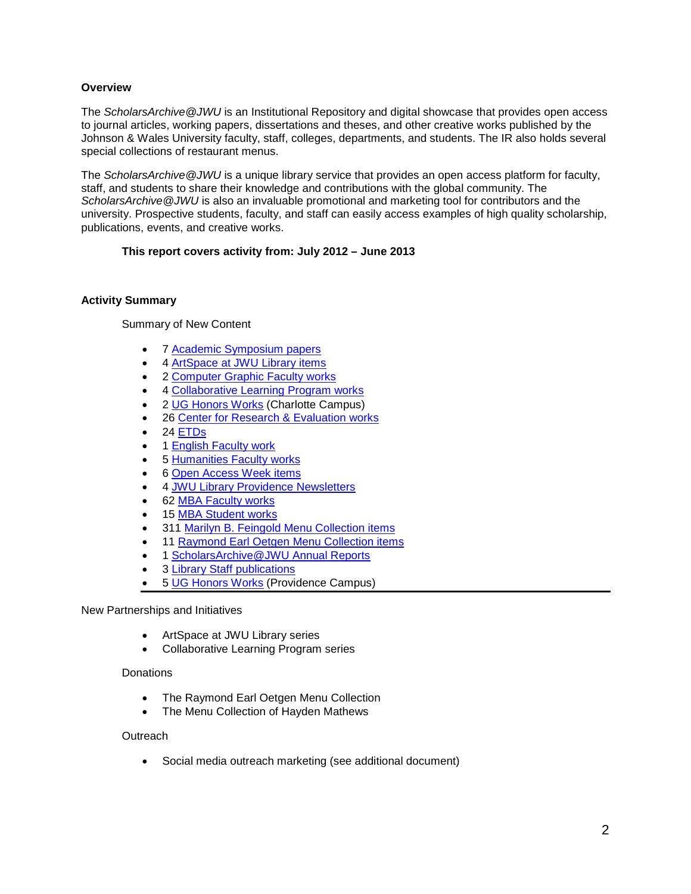# **Overview**

The *ScholarsArchive@JWU* is an Institutional Repository and digital showcase that provides open access to journal articles, working papers, dissertations and theses, and other creative works published by the Johnson & Wales University faculty, staff, colleges, departments, and students. The IR also holds several special collections of restaurant menus.

The *ScholarsArchive@JWU* is a unique library service that provides an open access platform for faculty, staff, and students to share their knowledge and contributions with the global community. The *ScholarsArchive@JWU* is also an invaluable promotional and marketing tool for contributors and the university. Prospective students, faculty, and staff can easily access examples of high quality scholarship, publications, events, and creative works.

# **This report covers activity from: July 2012 – June 2013**

# **Activity Summary**

Summary of New Content

- 7 [Academic Symposium papers](http://scholarsarchive.jwu.edu/ac_symposium/)
- 4 [ArtSpace at JWU Library items](http://scholarsarchive.jwu.edu/artspace/)
- 2 [Computer Graphic Faculty works](http://scholarsarchive.jwu.edu/cgd_fac/)
- 4 [Collaborative Learning Program works](http://scholarsarchive.jwu.edu/clp/)
- 2 [UG Honors Works](http://scholarsarchive.jwu.edu/clt_honorstheses/) (Charlotte Campus)
- 26 [Center for Research & Evaluation works](http://scholarsarchive.jwu.edu/research/)
- 24 [ETDs](http://scholarsarchive.jwu.edu/dissertations/)
- 1 [English Faculty work](http://scholarsarchive.jwu.edu/english_fac/)
- 5 [Humanities Faculty works](http://scholarsarchive.jwu.edu/humanities_fac/)
- 6 [Open Access Week items](http://scholarsarchive.jwu.edu/jwu_oa_week/2012/)
- 4 [JWU Library Providence Newsletters](http://scholarsarchive.jwu.edu/lib_newsletter/)
- 62 [MBA Faculty works](http://scholarsarchive.jwu.edu/mba_fac/)
- 15 [MBA Student works](http://scholarsarchive.jwu.edu/mba_student/)
- 311 [Marilyn B. Feingold Menu Collection items](http://scholarsarchive.jwu.edu/mbf_collection/)
- 11 [Raymond Earl Oetgen Menu Collection items](http://scholarsarchive.jwu.edu/reo_collection/)
- 1 [ScholarsArchive@JWU Annual Reports](http://scholarsarchive.jwu.edu/sa_annualreports/)
- 3 [Library Staff publications](http://scholarsarchive.jwu.edu/staff_pub/)
- 5 [UG Honors Works](http://scholarsarchive.jwu.edu/student_scholarship/) (Providence Campus)

## New Partnerships and Initiatives

- ArtSpace at JWU Library series
- Collaborative Learning Program series

## **Donations**

- The Raymond Earl Oetgen Menu Collection
- The Menu Collection of Hayden Mathews

## **Outreach**

• Social media outreach marketing (see additional document)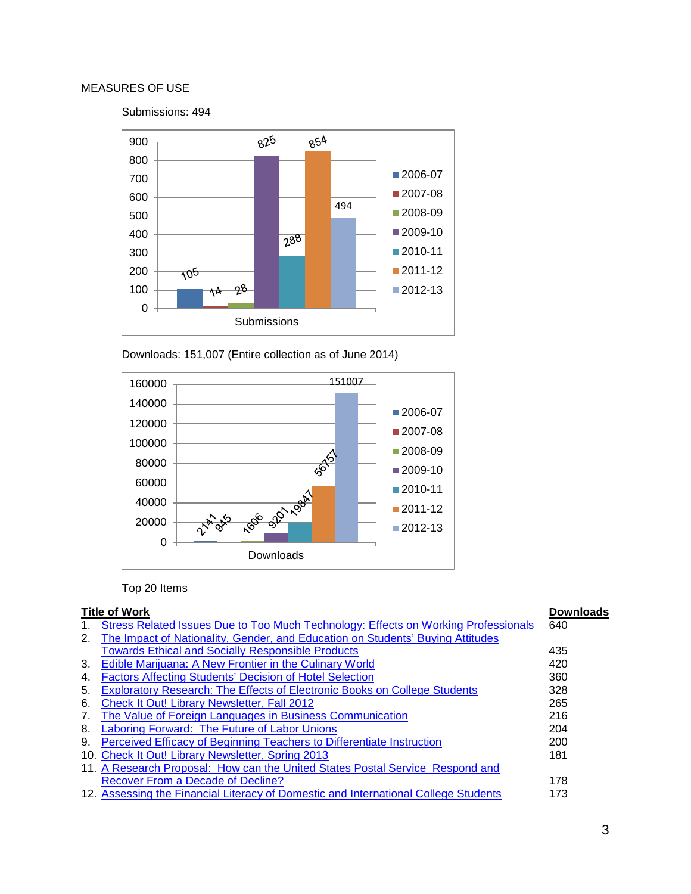# MEASURES OF USE





Downloads: 151,007 (Entire collection as of June 2014)



# Top 20 Items

| <b>Title of Work</b> |                                                                                     | <b>Downloads</b> |
|----------------------|-------------------------------------------------------------------------------------|------------------|
| 1.                   | Stress Related Issues Due to Too Much Technology: Effects on Working Professionals  | 640              |
| 2.                   | The Impact of Nationality, Gender, and Education on Students' Buying Attitudes      |                  |
|                      | <b>Towards Ethical and Socially Responsible Products</b>                            | 435              |
| 3.                   | Edible Marijuana: A New Frontier in the Culinary World                              | 420              |
| 4.                   | <b>Factors Affecting Students' Decision of Hotel Selection</b>                      | 360              |
| 5.                   | <b>Exploratory Research: The Effects of Electronic Books on College Students</b>    | 328              |
| 6.                   | <b>Check It Out! Library Newsletter, Fall 2012</b>                                  | 265              |
| 7.                   | The Value of Foreign Languages in Business Communication                            | 216              |
| 8.                   | Laboring Forward: The Future of Labor Unions                                        | 204              |
| 9.                   | Perceived Efficacy of Beginning Teachers to Differentiate Instruction               | 200              |
|                      | 10. Check It Out! Library Newsletter, Spring 2013                                   | 181              |
|                      | 11. A Research Proposal: How can the United States Postal Service Respond and       |                  |
|                      | Recover From a Decade of Decline?                                                   | 178              |
|                      | 12. Assessing the Financial Literacy of Domestic and International College Students | 173              |
|                      |                                                                                     |                  |
|                      |                                                                                     |                  |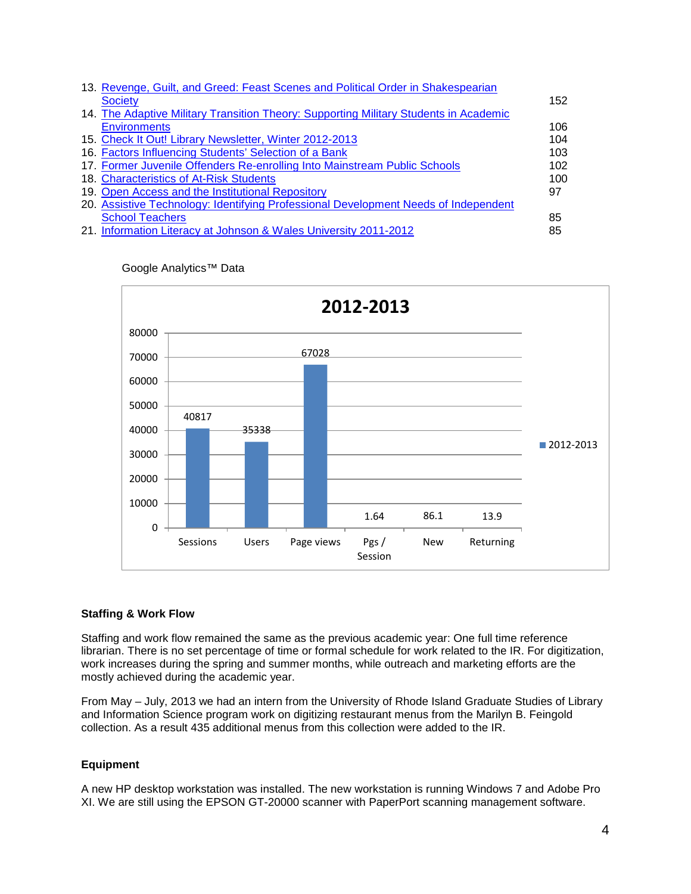| 13. Revenge, Guilt, and Greed: Feast Scenes and Political Order in Shakespearian      |     |
|---------------------------------------------------------------------------------------|-----|
| <b>Society</b>                                                                        | 152 |
| 14. The Adaptive Military Transition Theory: Supporting Military Students in Academic |     |
| <b>Environments</b>                                                                   | 106 |
| 15. Check It Out! Library Newsletter, Winter 2012-2013                                | 104 |
| 16. Factors Influencing Students' Selection of a Bank                                 | 103 |
| 17. Former Juvenile Offenders Re-enrolling Into Mainstream Public Schools             | 102 |
| 18. Characteristics of At-Risk Students                                               | 100 |
| 19. Open Access and the Institutional Repository                                      | 97  |
| 20. Assistive Technology: Identifying Professional Development Needs of Independent   |     |
| <b>School Teachers</b>                                                                | 85  |
| 21. Information Literacy at Johnson & Wales University 2011-2012                      | 85  |

Google Analytics™ Data



# **Staffing & Work Flow**

Staffing and work flow remained the same as the previous academic year: One full time reference librarian. There is no set percentage of time or formal schedule for work related to the IR. For digitization, work increases during the spring and summer months, while outreach and marketing efforts are the mostly achieved during the academic year.

From May – July, 2013 we had an intern from the University of Rhode Island Graduate Studies of Library and Information Science program work on digitizing restaurant menus from the Marilyn B. Feingold collection. As a result 435 additional menus from this collection were added to the IR.

# **Equipment**

A new HP desktop workstation was installed. The new workstation is running Windows 7 and Adobe Pro XI. We are still using the EPSON GT-20000 scanner with PaperPort scanning management software.